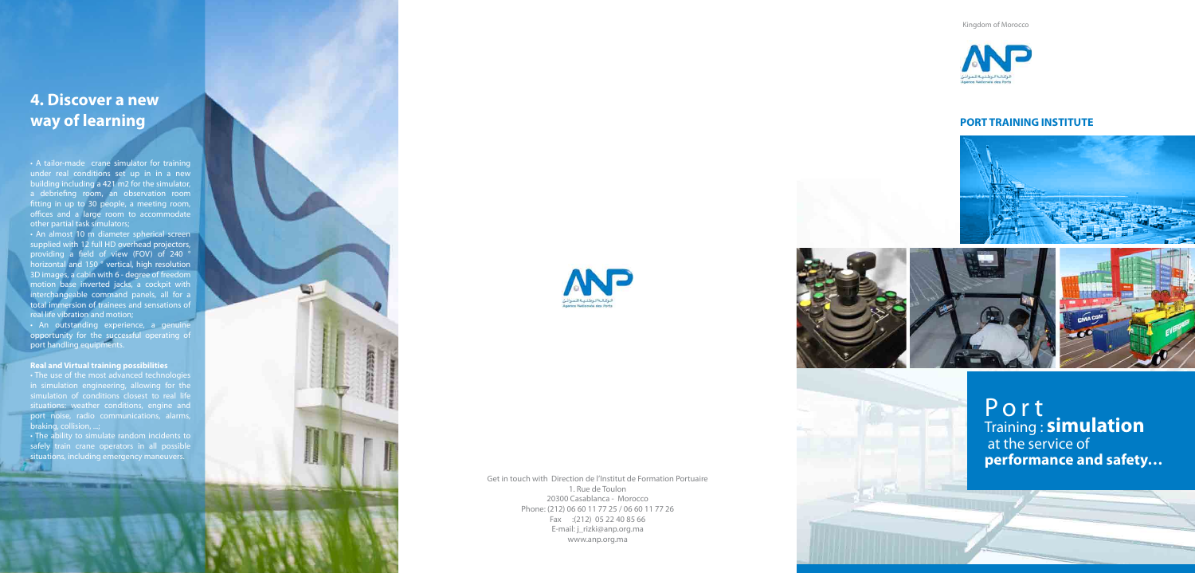### **4. Discover a new way of learning**

• A tailor-made crane simulator for training under real conditions set up in in a new building including a 421 m2 for the simulator, a debriefing room, an observation room fitting in up to 30 people, a meeting room, offices and a large room to accommodate other partial task simulators;

• An almost 10 m diameter spherical screen supplied with 12 full HD overhead projectors, providing a field of view (FOV) of 240 ° horizontal and 150 ° vertical, high resolution 3D images, a cabin with 6 - degree of freedom motion base inverted jacks, a cockpit with interchangeable command panels, all for a total immersion of trainees and sensations of real life vibration and motion;

• An outstanding experience, a genuine opportunity for the successful operating of port handling equipments.

#### **Real and Virtual training possibilities**

 $\cdot$  The use of the most advanced technologies in simulation engineering, allowing for the situations: weather conditions, engine and port noise, radio communications, alarms, braking, collision, ...;

• The ability to simulate random incidents to safely train crane operators in all possible situations, including emergency maneuvers.



Get in touch with Direction de l'Institut de Formation Portuaire 1. Rue de Toulon 20300 Casablanca - Morocco Phone: (212) 06 60 11 77 25 / 06 60 11 77 26 Fax : (212) 05 22 40 85 66 E-mail: j\_rizki@anp.org.ma www.anp.org.ma

Kingdom of Morocco



### **PORT TRAINING INSTITUTE**